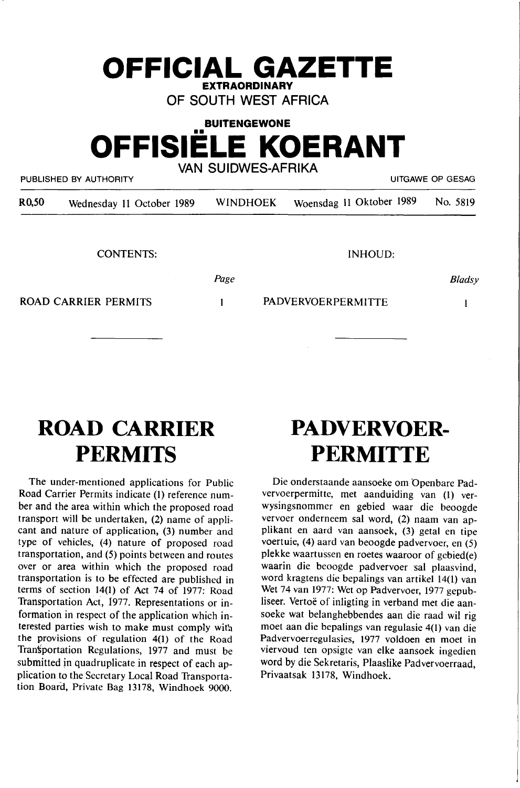# **EXTRAORDINARY OF SOUTH WEST AFRICA BUITENGEWONE**  •• **OFFISIELE KOERANT VAN SUIDWES-AFRIKA**

**OFFICIAL GAZETTE** 

PUBLISHED BY AUTHORITY **EXECUTE A SECURE 2018 THE SECURE 2019 OF GESAGRAPH** UITGAWE OP GESAG

| R <sub>0</sub> ,50 | Wednesday 11 October 1989   | <b>WINDHOEK</b> | Woensdag 11 Oktober 1989  | No. 5819      |
|--------------------|-----------------------------|-----------------|---------------------------|---------------|
|                    |                             |                 |                           |               |
|                    | <b>CONTENTS:</b>            |                 | <b>INHOUD:</b>            |               |
|                    |                             | Page            |                           | <b>Bladsy</b> |
|                    | <b>ROAD CARRIER PERMITS</b> |                 | <b>PADVERVOERPERMITTE</b> |               |
|                    |                             |                 |                           |               |
|                    |                             |                 |                           |               |

# **ROAD CARRIER PERMITS**

The under-mentioned applications for Public Road Carrier Permits indicate (1) reference number and the area within which the proposed road transport will be undertaken, (2) name of applicant and nature of application, (3) number and type of vehicles, (4) nature of proposed road transportation, and (5) points between and routes over or area within which the proposed road transportation is to be effected are published in terms of section 14(1) of Act 74 of 1977: Road Transportation Act, 1977. Representations or information in respect of the application which interested parties wish to make must comply with the provisions of regulation 4(1) of the Road Transportation Regulations, 1977 and must be submitted in quadruplicate in respect of each application to the Secretary Local Road Transportation Board, Private Bag 13178, Windhoek 9000.

# **PADVERVOER-PERMITTE**

Die onderstaande aansoeke om 'Openbare Padvervoerpermitte, met aanduiding van (1) verwysingsnommer en gebied waar die beoogde vervoer onderneem sal word, (2) naam van applikant en aard van aansoek, (3) getal en tipe voertuie, (4) aard van beoogde padvervoer, en (5) plekke waartussen en roetes waaroor of gebied(e) waarin die beoogde padvervoer sal plaasvind, word kragtens die bepalings van artikel 14(1) van Wet 74 van 1977: Wet op Padvervoer, 1977 gepubliseer. Vertoë of inligting in verband met die aansoeke wat belanghebbendes aan die raad wil rig moet aan die bepalings van regulasie 4(1) van die Padvervoerregulasies, 1977 voldoen en moet in viervoud ten opsigte van elke aansoek ingedien word by die Sekretaris, Plaaslike Padvervoerraad, Privaatsak 13178, Windhoek.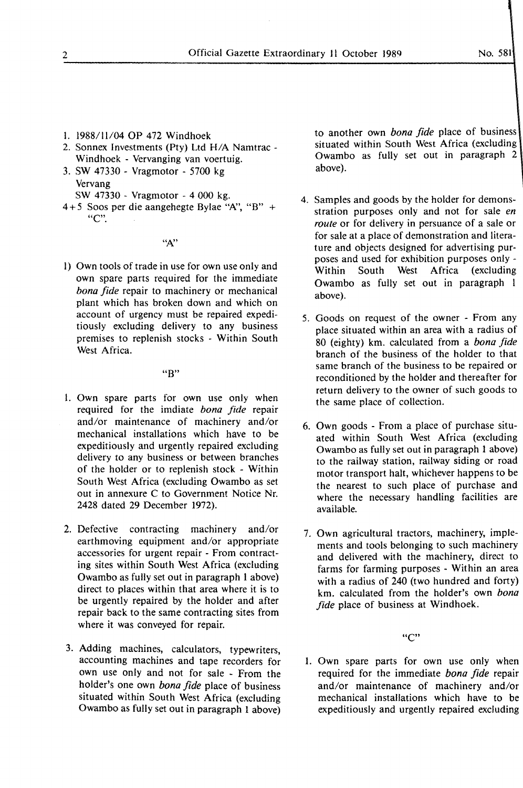- 1. 1988/11/04 OP 472 Windhoek
- 2. Sonnex Investments (Pty) Ltd H/A Namtrac Windhoek - Vervanging van voertuig.
- 3. SW 47330 Vragmotor 5700 kg Vervang
	- SW 47330 Vragmotor 4 000 kg.
- $4+5$  Soos per die aangehegte Bylae "A", "B" + "C".

#### $``A"$

1) Own tools of trade in use for own use only and own spare parts required for the immediate *bona fide* repair to machinery or mechanical plant which has broken down and which on account of urgency must be repaired expeditiously excluding delivery to any business premises to replenish stocks - Within South West Africa.

#### "B"

- l. Own spare parts for own use only when required for the imdiate *bona fide* repair and/or maintenance of machinery and/or mechanical installations which have to be expeditiously and urgently repaired excluding delivery to any business or between branches of the holder or to replenish stock - Within South West Africa (excluding Owambo as set out in annexure C to Government Notice Nr. 2428 dated 29 December 1972).
- 2. Defective contracting machinery and/or earthmoving equipment and/or appropriate accessories for urgent repair - From contracting sites within South West Africa (excluding Owambo as fully set out in paragraph 1 above) direct to places within that area where it is to be urgently repaired by the holder and after repair back to the same contracting sites from where it was conveyed for repair.
- 3. Adding machines, calculators, typewriters, accounting machines and tape recorders for own use only and not for sale - From the holder's one own *bona fide* place of business situated within South West Africa (excluding Owambo as fully set out in paragraph 1 above)

to another own *bona fide* place of business situated within South West Africa (excluding Owambo as fully set out in paragraph 2 above).

- 4. Samples and goods by the holder for demonsstration purposes only and not for sale *en route* or for delivery in persuance of a sale or for sale at a place of demonstration and literature and objects designed for advertising purposes and used for exhibition purposes only - Within South West Africa (excluding Owambo as fully set out in paragraph l above).
- 5. Goods on request of the owner From any place situated within an area with a radius of 80 (eighty) km. calculated from a *bona fide*  branch of the business of the holder to that same branch of the business to be repaired or reconditioned by the holder and thereafter for return delivery to the owner of such goods to the same place of collection.
- 6. Own goods From a place of purchase situated within South West Africa (excluding Owambo as fully set out in paragraph 1 above) to the railway station, railway siding or road motor transport halt, whichever happens to be the nearest to such place of purchase and where the necessary handling facilities are available.
- 7. Own agricultural tractors, machinery, implements and tools belonging to such machinery and delivered with the machinery, direct to farms for farming purposes - Within an area with a radius of 240 (two hundred and forty) km. calculated from the holder's own *bona fide* place of business at Windhoek.

"C"

1. Own spare parts for own use only when required for the immediate *bona fide* repair and/or maintenance of machinery and/or mechanical installations which have to be expeditiously and urgently repaired excluding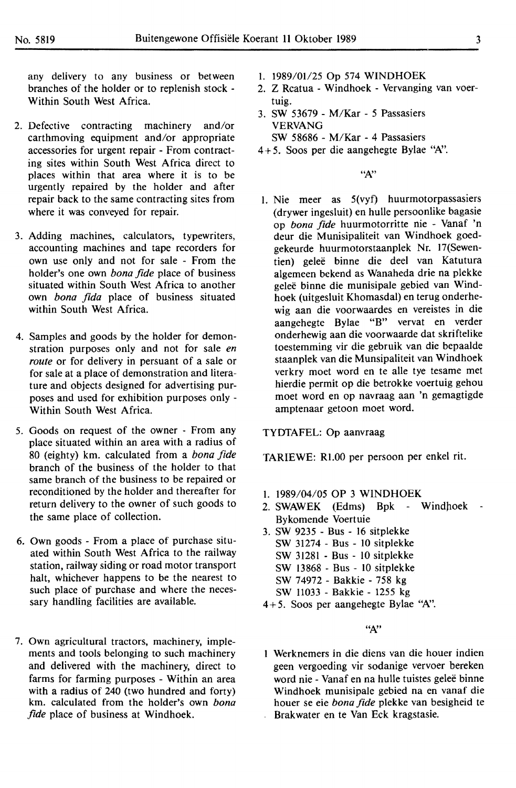any delivery to any business or between branches of the holder or to replenish stock - Within South West Africa.

- 2. Defective contracting machinery and/or earthmoving equipment and/or appropriate accessories for urgent repair - From contracting sites within South West Africa direct to places within that area where it is to be urgently repaired by the holder and after repair back to the same contracting sites from where it was conveyed for repair.
- 3. Adding machines, calculators, typewriters, accounting machines and tape recorders for own use only and not for sale - From the holder's one own *bona fide* place of business situated within South West Africa to another own *bona fida* place of business situated within South West Africa.
- 4. Samples and goods by the holder for demonstration purposes only and not for sale *en route* or for delivery in persuant of a sale or for sale at a place of demonstration and literature and objects designed for advertising purposes and used for exhibition purposes only - Within South West Africa.
- 5. Goods on request of the owner From any place situated within an area with a radius of 80 (eighty) km. calculated from a *bona fide*  branch of the business of the holder to that same branch of the business to be repaired or reconditioned by the holder and thereafter for return delivery to the owner of such goods to the same place of collection.
- 6. Own goods From a place of purchase situated within South West Africa to the railway station, railway siding or road motor transport halt, whichever happens to be the nearest to such place of purchase and where the necessary handling facilities are available.
- 7. Own agricultural tractors, machinery, implements and tools belonging to such machinery and delivered with the machinery, direct to farms for farming purposes - Within an area with a radius of 240 (two hundred and forty) km. calculated from the holder's own *bona fide* place of business at Windhoek.
- I. 1989/01/25 Op 574 **WINDHOEK**
- 2. Z Rcatua Windhoek Vervanging van voertuig.
- 3. SW 53679 M/Kar 5 Passasiers **VERVANG**  SW 58686 - M/Kar - 4 Passasiers
- 4+ 5. Soos per die aangehegte Bylae *"N.'.*

 $``A"$ 

I. Nie meer as 5(vyf) huurmotorpassasiers (drywer ingesluit) en hulle persoonlike bagasie op *bona fide* huurmotorritte nie - Vanaf 'n deur die Munisipaliteit van Windhoek goedgekeurde huurmotorstaanplek Nr. 17(Sewentien) gelee binne die deel van Katutura algemeen bekend as Wanaheda drie na plekke geleë binne die munisipale gebied van Windhoek (uitgesluit Khomasdal) en terug onderhewig aan die voorwaardes en vereistes in die aangehegte Bylae "B" vervat en verder onderhewig aan die voorwaarde dat skriftelike toestemming vir die gebruik van die bepaalde staanplek van die Munsipaliteit van Windhoek verkry moet word en te alle tye tesame met hierdie permit op die betrokke voertuig gehou moet word en op navraag aan 'n gemagtigde amptenaar getoon moet word.

TYDTAFEL: Op aanvraag

TARIEWE: Rl.00 per persoon per enkel rit.

- I. 1989/04/05 OP 3 WINDHOEK
- 2. SWAWEK (Edms) Bpk Windhoek Bykomende Voertuie
- 3. SW 9235 Bus 16 sitplekke
	- SW 31274 Bus IO sitplekke
	- SW 31281 Bus IO sitplekke
	- SW 13868 Bus IO sitplekke
	- SW 74972 Bakkie 758 kg
	- SW 11033 Bakkie 1255 kg
- 4+5. Soos per aangehegte Bylae *"N.'.*

*"N.'* 

Werknemers in die diens van die houer indien geen vergoeding vir sodanige vervoer bereken word nie - Vanaf en na hulle tuistes geleë binne Windhoek munisipale gebied na en vanaf die houer se eie *bona fide* plekke van besigheid te Brakwater en te Van Eck kragstasie.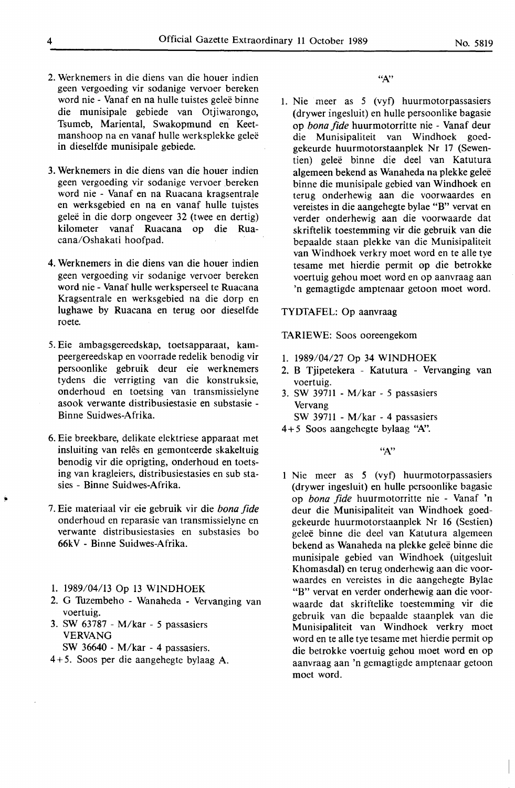- 2. Werknemers in die diens van die houer indien geen vergoeding vir sodanige vervoer bereken word nie - Vanaf en na hulle tuistes geleë binne die munisipale gebiede van Otjiwarongo, Tsumeb, Mariental, Swakopmund en Keetmanshoop na en vanaf hulle werksplekke gelee in dieselfde munisipale gebiede.
- 3. Werknemers in die diens van die houer indien geen vergoeding vir sodanige vervoer bereken word nie - Vanaf en na Ruacana kragsentrale en werksgebied en na en vanaf hulle tuistes geleë in die dorp ongeveer 32 (twee en dertig) kilometer vanaf Ruacana op die Ruacana/Oshakati hoofpad.
- 4. Werknemers in die diens van die houer indien geen vergoeding vir sodanige vervoer bereken word nie- Vanaf hulle werksperseel te Ruacana Kragsentrale en werksgebied na die dorp en lughawe by Ruacana en terug oor dieselfde roete.
- *5.* Eie ambagsgereedskap, toetsapparaat, kampeergereedskap en voorrade redelik benodig vir persoonlike gebruik deur eie werknemers tydens die verrigting van die konstruksie, onderhoud en toetsing van transmissielyne asook verwante distribusiestasie en substasie - Binne Suidwes-Afrika.
- 6. Eie breekbare, delikate elektriese apparaat met insluiting van relês en gemonteerde skakeltuig benodig vir die oprigting, onderhoud en toetsing van kragleiers, distribusiestasies en sub stasies - Binne Suidwes-Afrika.
- 7. Eie materiaal vir eie gebruik vir die *bona fide*  onderhoud en reparasie van transmissielyne en verwante distribusiestasies en substasies bo 66kV - Binne Suidwes-Afrika.
- 1. 1989/04/13 Op 13 WINDHOEK
- 2. G Tuzembeho Wanaheda Vervanging van voertuig.
- 3. SW 63787 M/kar *5* passasiers **VERVANG** 
	- SW 36640 M/kar 4 passasiers.
- 4+5. Soos per die aangehegte bylaag A.

*".N'* 

1. Nie meer as *5* (vyt) huurmotorpassasiers (drywer ingesluit) en hulle persoonlike bagasie op *bona fide* huurmotorritte nie - Vanaf deur die Munisipaliteit van Windhoek goedgekeurde huurmotorstaanplek Nr 17 (Sewentien) gelee binne die deel van Katutura algemeen bekend as Wanaheda na plekke gelee binne die munisipale gebied van Windhoek en terug onderhewig aan die voorwaardes en vereistes in die aangehegte bylae "B" vervat en verder onderhewig aan die voorwaarde dat skriftelik toestemming vir die gebruik van die bepaalde staan plekke van die Munisipaliteit van Windhoek verkry moet word en te alle tye tesame met hierdie permit op die betrokke voertuig gehou moet word en op aanvraag aan 'n gemagtigde amptenaar getoon moet word.

#### TYDTAFEL: Op aanvraag

TARIEWE: Soos ooreengekom

- 1. 1989/04/27 Op 34 WINDHOEK
- 2. B Tjipetekera Katutura Vervanging van voertuig.
- 3. SW 39711 M/kar *5* passasiers Vervang

SW 39711 - M/kar - 4 passasiers

4 + *5* Soos aangehegte bylaag *''A:'.* 

 $A$ "

**1 Nie** meer as *5* (vyt) huurmotorpassasiers (drywer ingesluit) en hulle persoonlike bagasie op *bona fide* huurmotorritte nie - Vanaf 'n deur die Munisipaliteit van Windhoek goedgekeurde huurmotorstaanplek Nr 16 (Sestien) gelee binne die deel van Katutura algemeen bekend as Wanaheda na plekke gelee binne die munisipale gebied van Windhoek (uitgesluit Khomasdal) en terug onderhewig aan die voorwaardes en vereistes in die aangehegte Bylae "B" vervat en verder onderhewig aan die voorwaarde dat skriftelike toestemming vir die gebruik van die bepaalde staanplek van die Munisipaliteit van Windhoek verkry moet word en te alle tye tesame met hierdie permit op die betrokke voertuig gehou moet word en op aanvraag aan 'n gemagtigde amptenaar getoon moet word.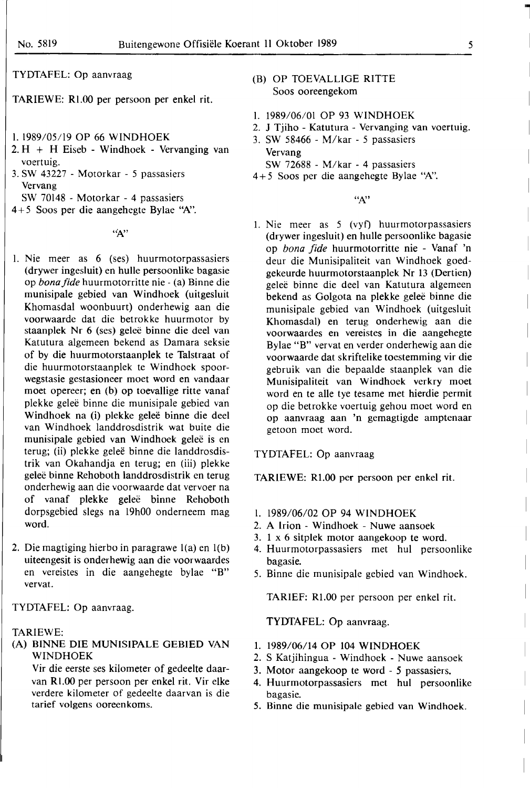TYDfAFEL: Op aanvraag

TARIEWE: Rl.00 per persoon per enkel rit.

- 1. 1989/05/19 OP 66 WINDHOEK
- 2. H + H Eiseb Windhoek Vervanging van voertuig.
- 3. SW 43227 Motorkar *5* passasiers Vervang
- SW 70148 Motorkar 4 passasiers
- 4 + *5* Soos per die aangehegte Bylae *"N'.*

 $``A"$ 

- I. Nie meer as 6 (ses) huurmotorpassasiers (drywer ingesluit) en hulle persoonlike bagasie op *bona fide* huurmotorritte nie - (a) Binne die munisipale gebied van Windhoek (uitgesluit **Khomasdal woonbuurt) onderhewig aan die**  voorwaarde dat die betrokke huurmotor by staanplek Nr 6 (ses) geleë binne die deel van **Katutura algemeen bekend as Damara seksie**  of by die huurmotorstaanplek te Talstraat of **die huurmotorstaanplek te Windhoek spoor**wegstasie gestasioneer moet word en vandaar moet opereer; en (b) op toevallige ritte vanaf plekke gelee binne die munisipale gebied van Windhoek na (i) plekke geleë binne die deel **van Windhoek landdrosdistrik wat buite die**  munisipale gebied van Windhoek gelee is en terug; (ii) plekke gelee binne die landdrosdis**trik van Okahandja en terug; en** (iii) **plekke**  gelee binne Rehoboth landdrosdistrik en terug **onderhewig aan die voorwaarde dat vervoer na**  of vanaf plekke gelee binne Rehoboth **dorpsgebied slegs na 19h00 ondemeem mag**  word.
- 2. **Die magtiging hierbo in paragrawe l(a) en l(b)**  uiteengesit is onderhewig aan die voorwaardes **en vereistes in die aangehegte bylae "B"**  vervat.

TYDfAFEL: Op aanvraag.

# **TARIEWE:**

(A) BINNE DIE MUNISIPALE GEBIED VAN **WINDHOEK** 

Vir die eerste ses kilometer of gedeelte daarvan Rl.00 per persoon per enkel rit. Vir elke verdere kilometer of gedeelte daarvan is die tarief volgens ooreenkoms.

- (B) OP TOEVALLIGE RITTE Soos ooreengekom
- 1. 1989/06/0l OP 93 **WINDHOEK**
- 2. J Tjiho Katutura Vervanging van voertuig.
- 3. SW 58466 M/kar *5* passasiers Vervang
- SW 72688 M/kar 4 passasiers
- 4 + *5* Soos per die aangehegte Bylae **''N.'.**

*"N'* 

1. Nie meer as *5* (vyf) huurmotorpassasiers (drywer ingesluit) en hulle persoonlike bagasie op *bona fide* huurmotorritte nie - Vanaf 'n deur die Munisipaliteit van Windhoek goedgekeurde huurmotorstaanplek Nr 13 (Dertien) gelee binne die deel van Katutura algemeen bekend as Golgota na plekke gelee binne die munisipale gebied van Windhoek (uitgesluit Khomasdal) en terug onderhewig aan die voorwaardes en vereistes in die aangehegte Bylae "B" vervat en verder onderhewig aan die voorwaarde dat skriftelike toestemming vir die gebruik van die bepaalde staanplek van die Munisipaliteit van Windhoek verkry moet word en te alle tye tesame met hierdie permit op die betrokke voertuig gehou moet word en op aanvraag aan 'n gemagtigde amptenaar getoon moet word.

#### TYDTAFEL: Op aanvraag

TARIEWE: Rl.00 per persoon per enkel rit.

- l. 1989/06/02 OP 94 WINDHOEK
- 2. A Irion Windhoek Nuwe aansoek
- 3. 1 x 6 sitplek motor aangekoop te word.
- 4. Huurmotorpassasiers met hul persoonlike bagasie.
- 5. Binne die munisipale gebied van Windhoek.

**TARIEF:** Rl.00 per persoon per enkel rit.

# TYDTAFEL: Op aanvraag.

- 1. 1989/06/14 OP 104 WINDHOEK
- 2. S Katjihingua Windhoek Nuwe aansoek
- 3. Motor aangekoop te word *5* passasiers.
- 4. Huurmotorpassasiers met hul persoonlike bagasie.
- 5. Binne die munisipale gebied van Windhoek.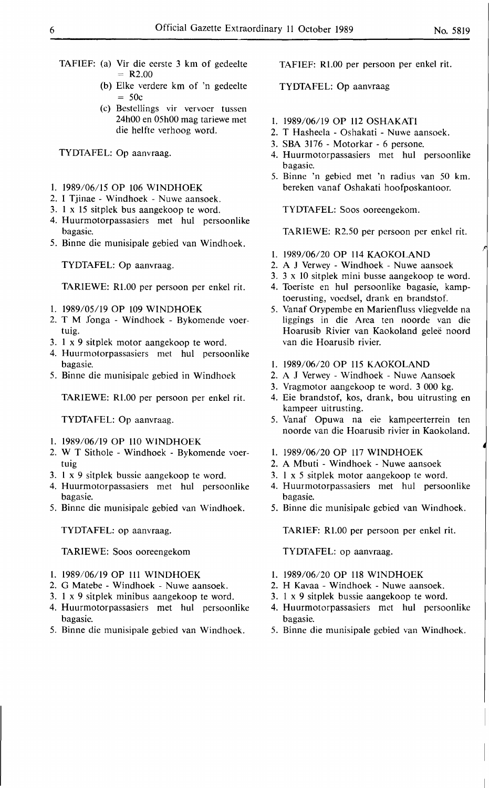- TAFIEF: (a) Vir die eerste 3 km of gedeelte  $= R2.00$ 
	- (b) Elke verdere km of 'n gedeelte  $= 50c$
	- (c) Bestellings vir vervoer tussen 24h00 en 05h00 mag tariewe met die helfte verhoog word.

TYDTAFEL: Op aanvraag.

- 1. 1989/06/15 OP 106 WINDHOEK
- 2. I Tjinae Windhoek Nuwe aansoek.
- 3. 1 x 15 sitplek bus aangekoop te word.
- 4. Huurmotorpassasiers met hul persoonlike bagasie.
- *5.* Binne die munisipale gebied van Windhoek.

TYDTAFEL: Op aanvraag.

TARIEWE: Rl.00 per persoon per enkel rit.

- 1. 1989/05/19 OP 109 WINDHOEK
- 2. T M 1onga Windhoek Bykomende voertuig.
- 3. 1 x 9 sitplek motor aangekoop te word.
- 4. Huurmotorpassasiers met hul persoonlike bagasie.
- *5.* Binne die munisipale gebied in Windhoek

TARIEWE: Rl.00 per persoon per enkel rit.

TYDTAFEL: Op aanvraag.

- 1. 1989/06/19 OP ll0 WINDHOEK
- 2. W T Sithole Windhoek Bykomende voertuig
- 3. 1 x 9 sitplek bussie aangekoop te word.
- 4. Huurmotorpassasiers met hul persoonlike bagasie.
- *5.* Binne die munisipale gebied van Windhoek.

TYDTAFEL: op aanvraag.

TARIEWE: Soos ooreengekom

- 1. 1989/06/19 OP 111 WINDHOEK
- 2. G Matebe Windhoek Nuwe aansoek.
- 3. 1 x 9 sitplek minibus aangekoop te word.
- 4. Huurmotorpassasiers met hul persoonlike bagasie.
- *5.* Binne die munisipale gebied van Windhoek.

TAFIEF: Rl.00 per persoon per enkel rit.

# TYDTAFEL: Op aanvraag

- 1. 1989/06/19 OP 112 OSHAKATI
- 2. T Hasheela Oshakati Nuwe aansoek.
- 3. SBA 3176 Motorkar 6 persone.
- 4. Huurmotorpassasiers met hul persoonlike bagasie.
- *5.* Binne 'n gebied met 'n radius van 50 km. bereken vanaf Oshakati hoofposkantoor.

TYDTAFEL: Soos ooreengekom.

TARIEWE: R2.50 per persoon per enkel rit.

- 1. 1989/06/20 OP ll4 KAOKOLAND
- 2. A J Verwey Windhoek Nuwe aansoek
- 3. 3 x 10 sitplek mini busse aangekoop te word.
- 4. Toeriste en hul persoonlike bagasie, kamp toerusting, voedsel, drank en brandstof.
- *5.* Vanaf Orypembe en Marienfluss vliegvelde na liggings in die Area ten noorde van die Hoarusib Rivier van Kaokoland geleë noord van die Hoarusib rivier.
- 1. 1989/06/20 OP 115 KAOKOLAND
- 2. A J Verwey Windhoek Nuwe Aansoek
- 3. Vragmotor aangekoop te word. 3 000 kg.
- 4. Eie brandstof, kos, drank, bou uitrusting en kampeer uitrusting.
- *5.* Vanaf Opuwa na eie kampeerterrein ten noorde van die Hoarusib rivier in Kaokoland.
- 1. 1989/06/20 OP ll7 WINDHOEK
- 2. A Mbuti Windhoek Nuwe aansoek
- 3. I x *5* sitplek motor aangekoop te word.
- 4. Huurmotorpassasiers met hul persoonlike bagasie.
- *5.* Binne die munisipale gebied van Windhoek.

**TARIEF:** Rl.00 per persoon per enkel rit.

TYDTAFEL: op aanvraag.

- 1. 1989/06/20 OP 118 WINDHOEK
- 2. H Kavaa Windhoek Nuwe aansoek.
- 3. 1 x 9 sitplek bussie aangekoop te word.
- 4. Huurmotorpassasiers met hul persoonlike bagasie.
- *5.* Binne die munisipale gebied van Windhoek.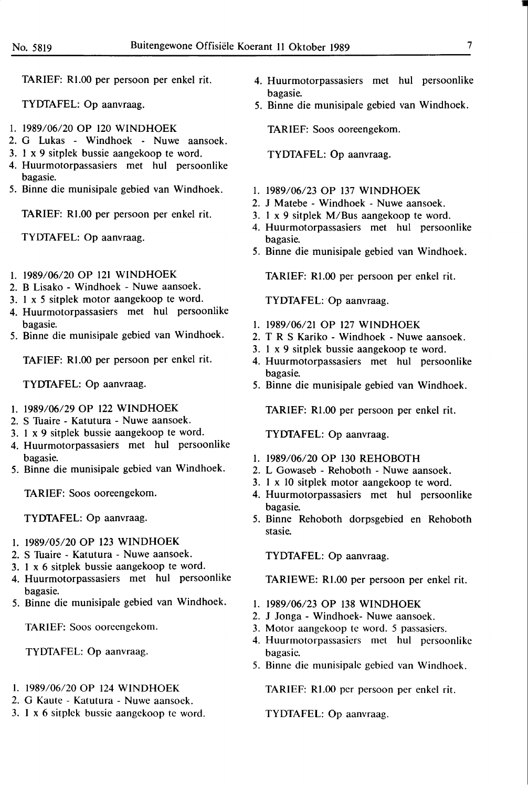TARIEF: Rl.00 per persoon per enkel rit.

TYDTAFEL: Op aanvraag.

- I. 1989/06/20 OP 120 **WINDHOEK**
- 2. G Lukas Windhoek Nuwe aansoek.
- 3. 1 x 9 sitplek bussie aangekoop te word.
- 4. Huurmotorpassasiers met hul persoonlike bagasie.
- 5. Binne die munisipale gebied van Windhoek.

TARIEF: Rl.00 per persoon per enkel rit.

TYDTAFEL: Op aanvraag.

- I. 1989/06/20 OP 121 WINDHOEK
- 2. B Lisako Windhoek Nuwe aansoek.
- 3. I x *5* sitplek motor aangekoop te word.
- 4. Huurmotorpassasiers met hul persoonlike bagasie.
- 5. Binne die munisipale gebied van Windhoek.

TAFIEF: Rl.00 per persoon per enkel rit.

TYDTAFEL: Op aanvraag.

- I. 1989/06/29 OP 122 WINDHOEK
- 2. S Tuaire Katutura Nuwe aansoek.
- 3. I x 9 sitplek bussie aangekoop te word.
- 4. Huurmotorpassasiers met hul persoonlike bagasie.
- 5. Binne die munisipale gebied van Windhoek.

TARIEF: Soos ooreengekom.

TYDTAFEL: Op aanvraag.

- I. 1989/05/20 OP 123 WINDHOEK
- 2. S Tuaire Katutura Nuwe aansoek.
- 3. I x 6 sitplek bussie aangekoop te word.
- 4. Huurmotorpassasiers met hul persoonlike bagasie.
- 5. Binne die munisipale gebied van Windhoek.

**TARIEF:** Soos ooreengekom.

**TYDTAFEL: Op** aanvraag.

- I. **1989/06/20 OP 124 WINDHOEK**
- 2. G Kaute Katutura Nuwe aansoek.
- 3. **1 x 6** sitplek bussie aangekoop te word.
- 4. Huurmotorpassasiers met hul persoonlike bagasie.
- 5. Binne die munisipale gebied van Windhoek.

TARIEF: Soos ooreengekom.

TYDTAFEL: Op aanvraag.

- I. 1989/06/23 OP 137 WINDHOEK
- 2. J Matebe Windhoek Nuwe aansoek.
- 3. I x 9 sitplek M/Bus aangekoop te word.
- 4. Huurmotorpassasiers met hul persoonlike bagasie.
- 5. Binne die munisipale gebied van Windhoek.

TARIEF: R1.00 per persoon per enkel rit.

TYDTAFEL: Op aanvraag.

- I. 1989/06/21 OP 127 WINDHOEK
- 2. T R S Kariko Windhoek Nuwe aansoek.
- 3. I x 9 sitplek bussie aangekoop te word.
- 4. Huurmotorpassasiers met hul persoonlike bagasie.
- 5. Binne die munisipale gebied van Windhoek.

TARIEF: R1.00 per persoon per enkel rit.

TYDTAFEL: Op aanvraag.

- I. 1989/06/20 OP 130 REHOBOTH
- 2. L Gowaseb Rehoboth Nuwe aansoek.
- 3. I x IO sitplek motor aangekoop te word.
- 4. Huurmotorpassasiers met hul persoonlike bagasie.
- 5. Binne Rehoboth dorpsgebied en Rehoboth stasie.

TYDTAFEL: Op aanvraag.

TARIEWE: Rl.00 per persoon per enkel rit.

- I. 1989/06/23 OP 138 WINDHOEK
- 2. J Jonga Windhoek- Nuwe aansoek.
- 3. Motor aangekoop te word. *5* passasiers.
- 4. Huurmotorpassasiers met hul persoonlike bagasie.
- 5. Binne die munisipale gebied van Windhoek.

TARIEF: Rl.00 per persoon per enkel rit.

TYDTAFEL: Op aanvraag.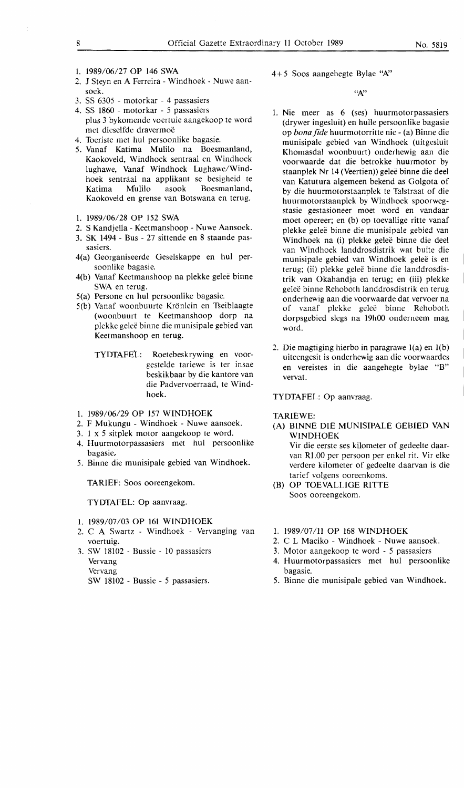- 1. 1989/06/27 OP 146 SWA
- 2. J Steyn en A Ferreira Windhoek Nuwe aansoek.
- 3. SS 6305 motorkar 4 passasiers
- 4. SS 1860 motorkar *5* passasiers plus 3 bykomende voertuie aangekoop te word met dieselfde dravermoe
- 4. Toeriste met hul persoonlike bagasie.
- 5. Vanaf Katima Mulilo na Boesmanland, Kaokoveld, Windhoek sentraal en Windhoek lughawe, Vanaf Windhoek Lughawe/Windhoek sentraal na applikant se besigheid te Katima Mulilo asook Boesmanland, Kaokoveld en grense van Botswana en terug.
- 1. 1989/06/28 OP 152 SWA
- 2. S Kandjella Keetmanshoop Nuwe Aansoek.
- 3. SK 1494 Bus 27 sittende en 8 staande pas-
- sasiers. 4(a) Georganiseerde Geselskappe en hul persoonlike bagasie.
- 4(b) Vanaf Keetmanshoop na plekke gelee binne SWA en terug.
- 5(a) Persone en hul persoonlike bagasie.
- 5(b) Vanaf woonbuurte Kronlein en Tseiblaagte (woonbuurt te Keetmanshoop dorp na plekke gelee binne die munisipale gebied van Keetmanshoop en terug.
	- TYDTAFEL: Roetebeskrywing en voorgestelde tariewe is ter insae beskikbaar by die kantore van die Padvervoerraad, te Windhoek.
- 1. 1989/06/29 OP 157 WINDHOEK
- 2. F Mukungu Windhoek Nuwe aansoek.
- 3. 1 x *5* sitplek motor aangekoop te word.
- 4. Huurmotorpassasiers met hul persoonlike bagasie,
- 5. Binne die munisipale gebied van Windhoek.

TARIEF: Soos ooreengekom.

TYDTAFEL: Op aanvraag.

- 1. 1989/07/03 OP 161 WINDHOEK
- 2. C A Swartz Windhoek Vervanging van voertuig.
- 3. SW 18102 Bussie 10 passasiers Vervang Vervang

SW 18102 - Bussie - *5* passasiers.

4 + *5* Soos aangehegte Bylae ''N.'

**''A:.'** 

- 1. Nie meer as 6 (ses) huurmotorpassasiers (drywer ingesluit) en hulle persoonlike bagasie op *bona fide* huurmotorritte nie - (a) Binne die munisipale gebied van Windhoek (uitgesluit Khomasdal woonbuurt) onderhewig aan die voorwaarde dat die betrokke huurmotor by staanplek Nr 14 (Veertien)) gelee binne die deel van Katutura algemeen bekend as Golgota of by die huurmotorstaanplek te Talstraat of die huurmotorstaanplek by Windhoek spoorwegstasie gestasioneer moet word en vandaar moet opereer; en (b) op toevallige ritte vanaf plekke gelee binne die munisipale gebied van Windhoek na (i) plekke geleë binne die deel van Windhoek landdrosdistrik wat buite die munisipale gebied van Windhoek geleë is en terug; (ii) plekke geleë binne die landdrosdistrik van Okahandja en terug; en (iii) plekke gelee binne Rehoboth landdrosdistrik en terug onderhewig aan die voorwaarde dat vervoer na of vanaf plekke gelee binne Rehoboth dorpsgebied slegs na 19h00 onderneem mag word.
- 2. Die magtiging hierbo in paragrawe l(a) en l(b) uiteengesit is onderhewig aan die voorwaardes en vereistes in die aangehegte bylae "B" vervat.

TYDTAFEL: Op aanvraag.

# TARIEWE:

- (A) BINNE DIE MUNISIPALE GEBIED VAN WINDHOEK Vir die eerste ses kilometer of gedeelte daarvan Rl.00 per persoon per enkel rit. Vir elke
- verdere kilometer of gedeelte daarvan is die tarief volgens ooreenkoms. (B) OP TOEVALLIGE RITTE
- Soos ooreengekom.
- 1. 1989/07/11 OP 168 WINDHOEK
- 2. C L Maciko Windhoek Nuwe aansoek.
- 3. Motor aangekoop te word *5* passasiers
- 4. Huurmotorpassasiers met hul persoonlike bagasie.
- 5. Binne die munisipale gebied van Windhoek.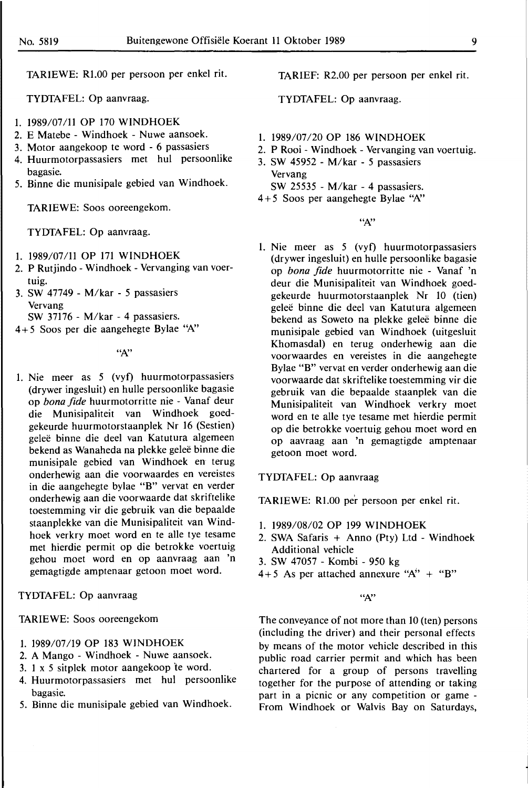TARIEWE: Rl.00 per persoon per enkel rit.

TYDTAFEL: Op aanvraag.

- 1. 1989/07/11 OP 170 WINDHOEK
- 2. E Matebe Windhoek Nuwe aansoek.
- 3. Motor aangekoop te word 6 passasiers
- 4. Huurmotorpassasiers met hul persoonlike bagasie.
- *5.* Binne die munisipale gebied van Windhoek.

TARIEWE: Soos ooreengekom.

TYDTAFEL: Op aanvraag.

- 1. 1989/07/11 OP 171 WINDHOEK
- 2. P Rutjindo Windhoek Vervanging van voertuig.
- 3. SW 47749 M/kar *5* passasiers Vervang

SW 37176 - M/kar - 4 passasiers.

 $4+5$  Soos per die aangehegte Bylae "A"

*"N'* 

1. Nie meer as 5 (vyf) huurmotorpassasiers (drywer ingesluit) en hulle persoonlike bagasie op *bona fide* huurmotorritte nie - Vanaf deur die Munisipaliteit van Windhoek goedgekeurde huurmotorstaanplek Nr 16 (Sestien) gelee binne die deel van Katutura algemeen bekend as Wanaheda na plekke gelee binne die munisipale gebied van Windhoek en terug onderhewig aan die voorwaardes en vereistes in die aangehegte bylae "B" vervat en verder onderhewig aan die voorwaarde dat skriftelike toestemming vir die gebruik van die bepaalde staanplekke van die Munisipaliteit van Windhoek verkry moet word en te alle tye tesame met hierdie permit op die betrokke voertuig gehou moet word en op aanvraag aan 'n gemagtigde amptenaar getoon moet word.

#### TYDTAFEL: Op aanvraag

TARIEWE: Soos ooreengekom

- 1. 1989/07/19 OP 183 WINDHOEK
- 2. A Mango Windhoek Nuwe aansoek.
- 3. 1 x 5 sitplek motor aangekoop 'te word.
- 4. Huurmotorpassasiers met hul persoonlike bagasie.
- 5. Binne die munisipale gebied van Windhoek.

TARIEF: R2.00 per persoon per enkel rit.

TYDTAFEL: Op aanvraag.

- 1. 1989/07/20 OP 186 WINDHOEK
- 2. P Rooi Windhoek Vervanging van voertuig.
- 3. SW 45952 M/kar 5 passasiers Vervang

SW 25535 - M/kar - 4 passasiers.

4 + 5 Soos per aangehegte Bylae *"N'* 

*"N'* 

1. Nie meer as 5 (vyf) huurmotorpassasiers (drywer ingesluit) en hulle persoonlike bagasie op *bona fide* huurmotorritte nie - Vanaf 'n deur die Munisipaliteit van Windhoek goedgekeurde huurmotorstaanplek Nr 10 (tien) gelee binne die deel van Katutura algemeen bekend as Soweto na plekke geleë binne die munisipale gebied van Windhoek (uitgesluit Khomasdal) en terug onderhewig aan die voorwaardes en vereistes in die aangehegte Bylae "B" vervat en verder onderhewig aan die voorwaarde dat skriftelike toestemming vir die gebruik van die bepaalde staanplek van die Munisipaliteit van Windhoek verkry moet word en te alle tye tesame met hierdie permit op die betrokke voertuig gehou moet word en op aavraag aan 'n gemagtigde amptenaar getoon moet word.

TYDTAFEL: Op aanvraag

TARIEWE: Rl.00 per persoon per enkel rit.

- 1. 1989/08/02 OP 199 WINDHOEK
- 2. SWA Safaris + Anno (Pty) Ltd Windhoek Additional vehicle
- 3. SW 47057 Kombi 950 kg
- 4+5 As per attached annexure " $A'' + 'B''$

*"N'* 

The conveyance of not more than 10 (ten) persons (including the driver) and their personal effects by means of the motor vehicle described in this public road carrier permit and which has been chartered for a group of persons travelling together for the purpose of attending or taking part in a picnic or any competition or game - From Windhoek or Walvis Bay on Saturdays,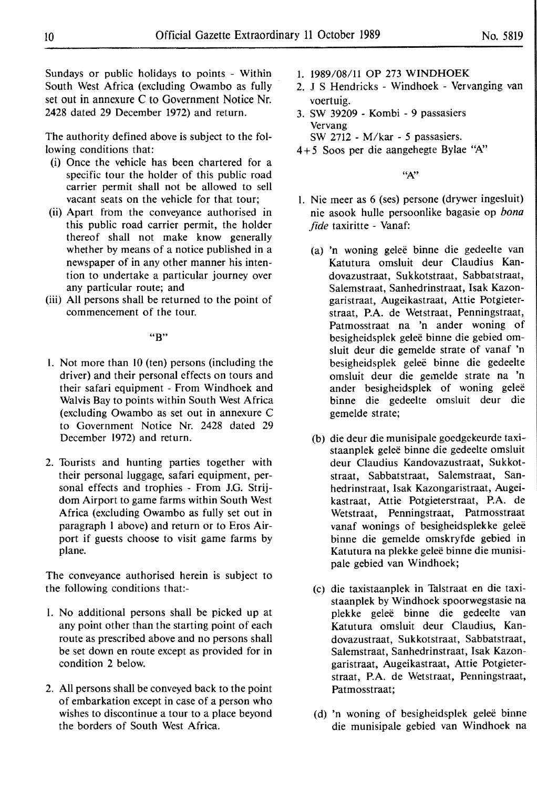Sundays or public holidays to points - Within South West Africa (excluding Owambo as fully set out in annexure C to Government Notice Nr. 2428 dated 29 December 1972) and return.

The authority defined above is subject to the following conditions that:

- (i) Once the vehicle has been chartered for a specific tour the holder of this public road carrier permit shall not be allowed to sell vacant seats on the vehicle for that tour;
- (ii) Apart from the conveyance authorised in this public road carrier permit, the holder thereof shall not make know generally whether by means of a notice published in a newspaper of in any other manner his intention to undertake a particular journey over any particular route; and
- (iii) All persons shall be returned to the point of commencement of the tour.

"B"

- I. Not more than IO (ten) persons (including the driver) and their personal effects on tours and their safari equipment - From Windhoek and Walvis Bay to points within South West Africa (excluding Owambo as set out in annexure C to Government Notice Nr. 2428 dated 29 December 1972) and return.
- 2. Tourists and hunting parties together with their personal luggage, safari equipment, personal effects and trophies - From J.G. Strijdom Airport to game farms within South West Africa (excluding Owambo as fully set out in paragraph l above) and return or to Eros Airport if guests choose to visit game farms by plane.

The conveyance authorised herein is subject to the following conditions that:-

- 1. No additional persons shall be picked up at any point other than the starting point of each route as prescribed above and no persons shall be set down en route except as provided for in condition 2 below.
- 2. All persons shall be conveyed back to the point of embarkation except in case of a person who wishes to discontinue a tour to a place beyond the borders of South West Africa.
- 1. 1989/08/11 OP 273 **WINDHOEK**
- 2. J S Hendricks Windhoek Vervanging van voertuig.
- 3. SW 39209 Kombi 9 passasiers Vervang SW 2712 - M/kar - *5* passasiers.
- 4+ *5* Soos per die aangehegte Bylae 'W'

**"N'** 

- I. Nie meer as 6 (ses) persone (drywer ingesluit) nie asook hulle persoonlike bagasie op *bona fide* taxiritte - Vanaf:
	- (a) 'n woning gelee binne die gedeelte van Katutura omsluit deur Claudius Kandovazustraat, Sukkotstraat, Sabbatstraat, Salemstraat, Sanhedrinstraat, Isak Kazongaristraat, Augeikastraat, Attie Potgieterstraat, **P.A.** de Wetstraat, Penningstraat, Patmosstraat na 'n ander woning of besigheidsplek geleë binne die gebied omsluit deur die gemelde strate of vanaf 'n besigheidsplek gelee binne die gedeelte omsluit deur die gemelde strate na 'n ander besigheidsplek of woning geleë binne die gedeelte omsluit deur die gemelde strate;
	- (b) die deur die munisipale goedgekeurde taxistaanplek gelee binne die gedeelte omsluit deur Claudius Kandovazustraat, Sukkotstraat, Sabbatstraat, Salemstraat, Sanhedrinstraat, Isak Kazongaristraat, Augeikastraat, Attie Potgieterstraat, P.A. de Wetstraat, Penningstraat, Patmosstraat vanaf wonings of besigheidsplekke gelee binne die gemelde omskryfde gebied in Katutura na plekke geleë binne die munisipale gebied van Windhoek;
	- (c) die taxistaanplek in Talstraat en die taxistaanplek by Windhoek spoorwegstasie na plekke geleë binne die gedeelte van Katutura omsluit deur Claudius, Kandovazustraat, Sukkotstraat, Sabbatstraat, Salemstraat, Sanhedrinstraat, Isak Kazongaristraat, Augeikastraat, Attie Potgieterstraat, P.A. de Wetstraat, Penningstraat, Patmosstraat;
	- (d) 'n woning of besigheidsplek gelee binne die munisipale gebied van Windhoek na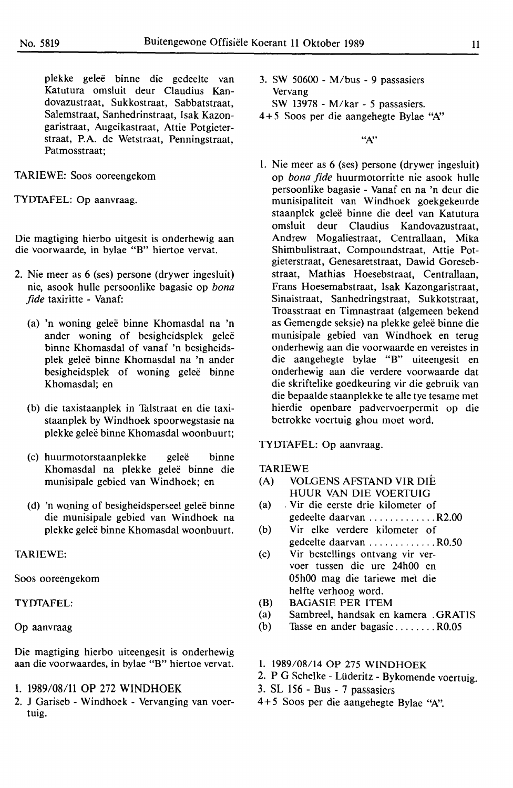plekke gelee binne die gedeelte van Katutura omsluit deur Claudius Kandovazustraat, Sukkostraat, Sabbatstraat, Salemstraat, Sanhedrinstraat, Isak Kazongaristraat, Augeikastraat, Attie Potgieterstraat, **P.A.** de Wetstraat, Penningstraat, Patmosstraat;

# TARIEWE: Soos ooreengekom

TYDTAFEL: Op aanvraag.

Die magtiging hierbo uitgesit is onderhewig aan die voorwaarde, in bylae **"B"** hiertoe vervat.

- 2. Nie meer as 6 (ses) persone (drywer ingesluit) nie, asook hulle persoonlike bagasie op *bona fide* taxiritte - Vanaf:
	- (a) 'n woning gelee binne Khomasdal na 'n ander woning of besigheidsplek geleë binne Khomasdal of vanaf 'n besigheidsplek gelee binne Khomasdal na 'n ander besigheidsplek of woning geleë binne Khomasdal; en
	- (b) die taxistaanplek in Talstraat en die taxistaanplek by Windhoek spoorwegstasie na plekke gelee binne Khomasdal woonbuurt;
	- (c) huurmotorstaanplekke geleë binne Khomasdal na plekke gelee binne die munisipale gebied van Windhoek; en
	- (d) 'n woning of besigheidsperseel geleë binne die munisipale gebied van Windhoek na plekke gelee binne Khomasdal woonbuurt.

#### **TARIEWE:**

Soos ooreengekom

#### **TYDTAFEL:**

#### Op aanvraag

Die magtiging hierbo uiteengesit is onderhewig aan die voorwaardes, in bylae **"B"** hiertoe vervat.

- 1. 1989/08/11 OP 272 WINDHOEK
- 2. J Gariseb Windhoek Vervanging van voertuig.
- 3. SW 50600 M/bus 9 passasiers Vervang SW 13978 - M/kar - 5 passasiers.
- 4 + 5 Soos per die aangehegte Bylae *"N'*

**"N'** 

I. Nie meer as 6 (ses) persone (drywer ingesluit) op *bona fide* huurmotorritte nie asook hulle persoonlike bagasie - Vanaf en na 'n deur die munisipaliteit van Windhoek goekgekeurde staanplek gelee binne die deel van Katutura omsluit deur Claudius Kandovazustraat,<br>Andrew Mogaliestraat. Centrallaan. Mika Mogaliestraat, Centrallaan, Mika Shimbulistraat, Compoundstraat, Attie Potgieterstraat, Genesaretstraat, Dawid Goresebstraat, Mathias Hoesebstraat, Centrallaan, Frans Hoesemabstraat, Isak Kazongaristraat, Sinaistraat, Sanhedringstraat, Sukkotstraat, Troasstraat en Timnastraat (algemeen bekend as Gemengde seksie) na plekke gelee binne die munisipale gebied van Windhoek en terug onderhewig aan die voorwaarde en vereistes in die aangehegte bylae "B" uiteengesit en onderhewig aan die verdere voorwaarde dat die skriftelike goedkeuring vir die gebruik van die bepaalde staanplekke te alle tye tesame met hierdie openbare padvervoerpermit op die betrokke voertuig ghou moet word.

#### TYDTAFEL: Op aanvraag.

#### TARIEWE

- (A) VOLGENS AFSTAND VIR DIE HUUR VAN DIE VOERTUIG
- (a) , Vir die eerste drie kilometer of gedeelte daarvan .............. R2.00
- (b) Vir elke verdere kilometer of gedeelte daarvan ............. R0.50
- (c) Vir bestellings ontvang vir vervoer tussen die ure 24h00 en 05h00 mag die tariewe met die helfte verhoog word.
- (B) BAGASIE PER ITEM
- (a) Sambreel, handsak en kamera . GRATIS
- (b) Tasse en ander bagasie ........ R0.05
- 1. 1989/08/14 OP 275 WINDHOEK
- 2. P G Schelke Lüderitz Bykomende voertuig.
- 3. SL 156 Bus 7 passasiers
- 4 + 5 Soos per die aangehegte Bylae *"N'.*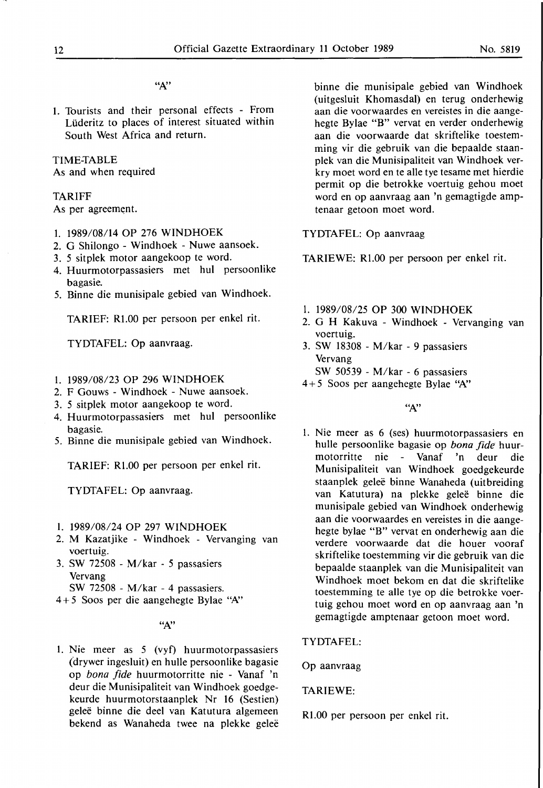"N'

1. Tourists and their personal effects - From Liideritz to places of interest situated within South West Africa and return.

#### TIME-TABLE

As and when required

#### TARIFF

As per agreement.

- 1. 1989/08/14 OP 276 WINDHOEK
- 2. G Shilongo Windhoek Nuwe aansoek.
- 3. 5 sitplek motor aangekoop te word.
- 4. Huurmotorpassasiers met hul persoonlike bagasie.
- 5. Binne die munisipale gebied van Windhoek.

TARIEF: Rl.00 per persoon per enkel rit.

TYDTAFEL: Op aanvraag.

- I. 1989/08/23 OP 296 **WINDHOEK**
- 2. F Gouws Windhoek Nuwe aansoek.
- 3. 5 sitplek motor aangekoop te word.
- 4. Huurmotorpassasiers met hul persoonlike bagasie.
- 5. Binne die munisipale gebied van Windhoek.

TARIEF: Rl.00 per persoon per enkel rit.

TYDTAFEL: Op aanvraag.

- l. 1989/08/24 OP 297 WINDHOEK
- 2. M Kazatjike Windhoek Vervanging van voertuig.
- 3. SW 72508 M/kar 5 passasiers Vervang

SW 72508 - M/kar - 4 passasiers.

4 + 5 Soos per die aangehegte Bylae *"A:'* 

*"N'* 

I. Nie meer as 5 (vyf) huurmotorpassasiers (drywer ingesluit) en hulle persoonlike bagasie op *bona fide* huurmotorritte nie - Vanaf 'n deur die Munisipaliteit van Windhoek goedgekeurde huurmotorstaanplek Nr 16 (Sestien) gelee binne die deel van Katutura algemeen bekend as Wanaheda twee na plekke geleë binne die munisipale gebied van Windhoek (uitgesluit Khomasdal) en terug onderhewig aan die voorwaardes en vereistes in die aangehegte Bylae "B" vervat en verder onderhewig aan die voorwaarde dat skriftelike toestemming vir die gebruik van die bepaalde staanplek van die Munisipaliteit van Windhoek verkry moet word en te alle tye tesame met hierdie permit op die betrokke voertuig gehou moet word en op aanvraag aan 'n gemagtigde amptenaar getoon moet word.

TYDTAFEL: Op aanvraag

TARIEWE: Rl.00 per persoon per enkel rit.

- l. 1989/08/25 OP 300 WINDHOEK
- 2. G H Kakuva Windhoek Vervanging van voertuig.
- 3. SW 18308 M/kar 9 passasiers Vervang
	- SW 50539 M/kar 6 passasiers
- 4 + 5 Soos per aangehegte Bylae *''A:'*

*''A:'* 

I. Nie meer as 6 (ses) huurmotorpassasiers en hulle persoonlike bagasie op *bona fide* huurmotorritte nie - Vanaf 'n deur die Munisipaliteit van Windhoek goedgekeurde staanplek gelee binne Wanaheda (uitbreiding van Katutura) na plekke geleë binne die munisipale gebied van Windhoek onderhewig aan die voorwaardes en vereistes in die aangehegte bylae "B" vervat en onderhewig aan die verdere voorwaarde dat die houer vooraf skriftelike toestemming vir die gebruik van die bepaalde staanplek van die Munisipaliteit van Windhoek moet bekom en dat die skriftelike toestemming te alle tye op die betrokke voertuig gehou moet word en op aanvraag aan 'n gemagtigde amptenaar getoon moet word.

TYDTAFEL:

Op aanvraag

TARIEWE:

Rl.00 per persoon per enkel rit.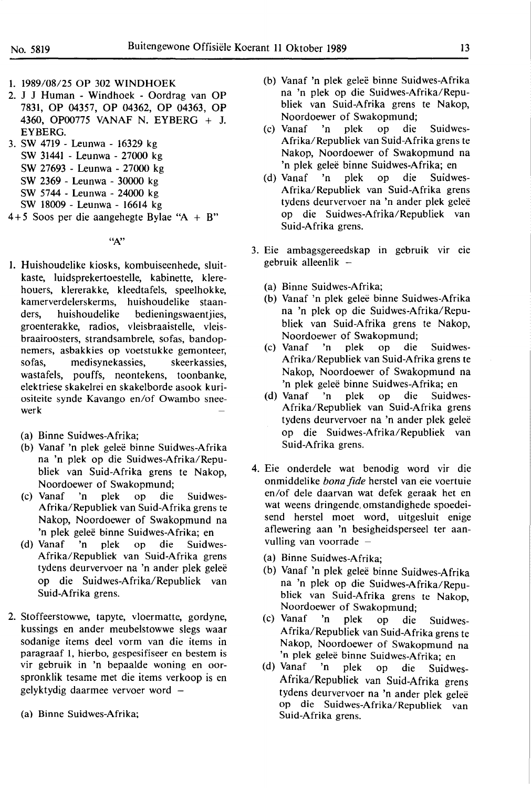- 1. 1989/08/25 OP 302 WINDHOEK
- 2. J J Human Windhoek Oordrag van OP 7831, OP 04357, OP 04362, OP 04363, OP 4360, OP00775 VANAF N. EYBERG + J. EYBERG.
- 3. SW 4719 Leunwa 16329 kg SW 31441 - Leunwa - 27000 kg SW 27693 - Leunwa - 27000 kg SW 2369 - Leunwa - 30000 kg
	- SW 5744 Leunwa 24000 kg
	- SW 18009 Leunwa 16614 kg
- 4 + *5* Soos per die aangehegte Bylae "A + B"

*"N'* 

- I. Huishoudelike kiosks, kombuiseenhede, sluitkaste, luidsprekertoestelle, kabinette, klerehouers, klererakke, kleedtafels, speelhokke, kamerverdelerskerms, huishoudelike staanders, huishoudelike bedieningswaentjies, groenterakke, radios, vleisbraaistelle, vleisbraairoosters, strandsambrele, sofas, bandopnemers, asbakkies op voetstukke gemonteer, sofas, medisynekassies, skeerkassies, wastafels, pouffs, neontekens, toonbanke, elektriese skakelrei en skakelborde asook kuriositeite synde Kavango en/of Owambo sneewerk
	- (a) Binne Suidwes-Afrika;
	- (b) Vanaf 'n plek gelee binne Suidwes-Afrika na 'n plek op die Suidwes-Afrika/Republiek van Suid-Afrika grens te Nakop, Noordoewer of Swakopmund;
	- (c) Vanaf 'n plek op die Suidwes-Afrika/Republiek van Suid-Afrika grens te Nakop, Noordoewer of Swakopmund na 'n plek gelee binne Suidwes-Afrika; en
	- (d) Vanaf 'n plek op die Suidwes-Afrika/Republiek van Suid-Afrika grens tydens deurvervoer na 'n ander plek geleë op die Suidwes-Afrika/Republiek van **Suid-Afrika** grens.
- **2.** Stoffeerstowwe, tapyte, vloermatte, gordyne, kussings en ander meubelstowwe slegs waar sodanige items deel vorm van die items in paragraaf 1, hierbo, gespesifiseer en bestem is vir gebruik in 'n bepaalde woning en oorspronklik tesame met die items verkoop is en gelyktydig daarmee vervoer word
	- (a) Binne Suidwes-Afrika;
- (b) Vanaf 'n plek gelee binne Suidwes-Afrika na 'n plek op die Suidwes-Afrika/Republiek van Suid-Afrika grens te Nakop, Noordoewer of Swakopmund;
- (c) Vanaf 'n plek op die Suidwes-Afrika/Republiek van Suid-Afrika grens te Nakop, Noordoewer of Swakopmund na 'n plek geleë binne Suidwes-Afrika; en
- (d) Vanaf 'n plek op die Suidwes-Afrika/Republiek van Suid-Afrika grens tydens deurvervoer na 'n ander plek geleë op die Suidwes-Afrika/Republiek van Suid-Afrika grens.
- 3. Eie ambagsgereedskap in gebruik vir eie gebruik alleenlik -
	- (a) Binne Suidwes-Afrika;
	- (b) Vanaf 'n plek gelee binne Suidwes-Afrika na 'n plek op die Suidwes-Afrika/Republiek van Suid-Afrika grens te Nakop, Noordoewer of Swakopmund;<br>Vanaf 'n plek op die
	- (c) Vanaf 'n plek op die Suidwes-Afrika/Republiek van Suid-Afrika grens te Nakop, Noordoewer of Swakopmund na 'n plek geleë binne Suidwes-Afrika; en<br>Vanaf 'n plek op die Suidw
	- (d) Vanaf 'n plek op die Suidwes-Afrika/Republiek van Suid-Afrika grens tydens deurvervoer na 'n ander plek geleë op die Suidwes-Afrika/Republiek van Suid-Afrika grens.
- 4. Eie onderdele wat benodig word vir die onmiddelike *bona fide* herstel van eie voertuie en/of dele daarvan wat defek geraak het en wat weens dringende, omstandighede spoedeisend herstel moet word, uitgesluit enige aflewering aan 'n besigheidsperseel ter aanvulling van voorrade  $-$ 
	-
	- (a) Binne Suidwes-Afrika;<br>(b) Vanaf 'n plek geleë binne Suidwes-Afrika na 'n plek op die Suidwes-Afrika/Republiek van Suid-Afrika grens te Nakop, Noordoewer of Swakopmund;
	- (c) Vanaf 'n plek op die Suidwes-Afrika/Republiek van Suid-Afrika grens te Nakop, Noordoewer of Swakopmund na 'n plek geleë binne Suidwes-Afrika; en
	- (d) Vanaf 'n plek op die Suidwes-Afrika/Republiek van Suid-Afrika grens tydens deurvervoer na 'n ander plek geleë op die Suidwes-Afrika/Republiek van Suid-Afrika grens.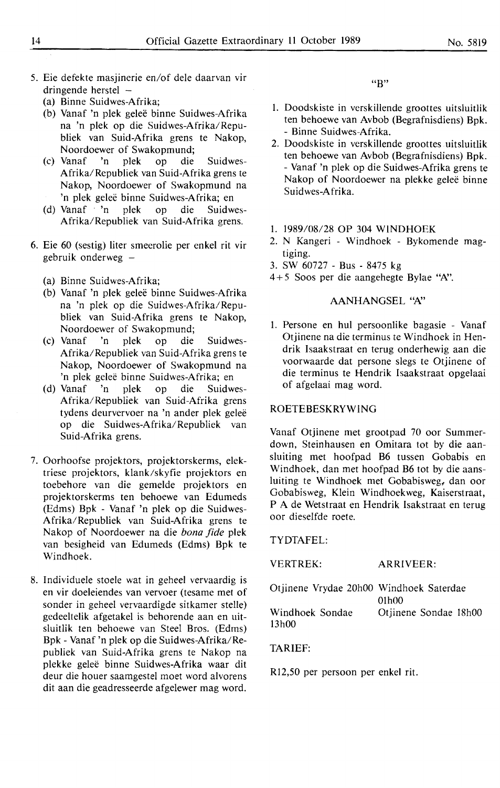- 5. Eie defekte masjinerie en/of dele daarvan vir dringende herstel  $-$ 
	- (a) Binne Suidwes-Afrika;
	- (b) Vanaf 'n plek gelee binne Suidwes-Afrika na 'n plek op die Suidwes-Afrika/Republiek van Suid-Afrika grens te Nakop, Noordoewer of Swakopmund;<br>Vanaf 'n plek op die
	- (c) Vanaf 'n plek op die Suidwes-Afrika/Republiek van Suid-Afrika grens te Nakop, Noordoewer of Swakopmund na 'n plek geleë binne Suidwes-Afrika; en
	- (d) Vanaf 'n plek op die Suidwes-Afrika/Republiek van Suid-Afrika grens.
- 6. Eie 60 (sestig) liter smeerolie per enkel rit vir gebruik onderweg  $-$ 
	- (a) Binne Suidwes-Afrika;
	- (b) Vanaf 'n plek gelee binne Suidwes-Afrika na 'n plek op die Suidwes-Afrika/Republiek van Suid-Afrika grens te Nakop, Noordoewer of Swakopmund;
	- (c) Vanaf 'n plek op die Suidwes-Afrika/Republiek van Suid-Afrika grens te Nakop, Noordoewer of Swakopmund na 'n plek geleë binne Suidwes-Afrika; en
	- (d) Vanaf 'n plek op die Suidwes-Afrika/Republiek van Suid-Afrika grens tydens deurvervoer na 'n ander plek geleë op die Suidwes-Afrika/Republiek van Suid-Afrika grens.
- 7. Oorhoofse projektors, projektorskerms, elektriese projektors, klank/skyfie projektors en toebehore van die gemelde projektors en projektorskerms ten behoewe van Edumeds (Edms) Bpk - Vanaf 'n plek op die Suidwes-Afrika/ Republiek van Suid-Afrika grens te Nakop of Noordoewer na die *bona fide* plek van besigheid van Edumeds (Edms) Bpk te Windhoek.
- 8. Individuele stoele wat in geheel vervaardig is en vir doeleiendes van vervoer (tesame met of sonder in geheel vervaardigde sitkamer stelle) gedeeltelik afgetakel is behorende aan en uitsluitlik ten behoewe van Steel Bros. (Edms) Bpk - Vanaf 'n plek op die Suidwes-Afrika/Republiek van Suid-Afrika grens te Nakop na plekke gelee binne Suidwes-Afrika waar dit deur die houer saamgestel moet word alvorens dit aan die geadresseerde afgelewer mag word.

 $"R"$ 

- 1. Doodskiste in verskillende groottes uitsluitlik ten behoewe van Avbob (Begrafnisdiens) Bpk. - Binne Suidwes-Afrika.
- 2. Doodskiste in verskillende groottes uitsluitlik ten behoewe van Avbob (Begrafnisdiens) Bpk. - Vanaf 'n plek op die Suidwes-Afrika grens te Nakop of Noordoewer na plekke gelee binne Suidwes-Afrika.
- 1. 1989/08/28 OP 304 WINDHOEK
- 2. N Kangeri Windhoek Bykomende magtiging.
- 3. SW 60727 Bus 8475 kg
- $4+5$  Soos per die aangehegte Bylae "A".

# AANHANGSEL "A"

1. Persone en hul persoonlike bagasie - Vanaf Otjinene na die terminus te Windhoek in Hendrik Isaakstraat en terug onderhewig aan die voorwaarde dat persone slegs te Otjinene of die terminus te Hendrik Isaakstraat opgelaai of afgelaai mag word.

# ROETEBESKRYWlNG

Vanaf Otjinene met grootpad 70 oor Summerdown, Steinhausen en Omitara tot by die aansluiting met hoofpad B6 tussen Gobabis en Windhoek, dan met hoofpad B6 tot by die aansluiting te Windhoek met Gobabisweg, dan oor Gobabisweg, Klein Windhoekweg, Kaiserstraat, P A de Wetstraat en Hendrik Isakstraat en terug oor dieselfde roete.

**TYDTAFEL:** 

**VERTREK: ARRIVEER:** 

| Otjinene Vrydae 20h00 Windhoek Saterdae |                       |
|-----------------------------------------|-----------------------|
|                                         | 01h00                 |
| Windhoek Sondae                         | Otiinene Sondae 18h00 |
| 13h00                                   |                       |

#### TARIEF:

Rl2,50 per persoon per enkel rit.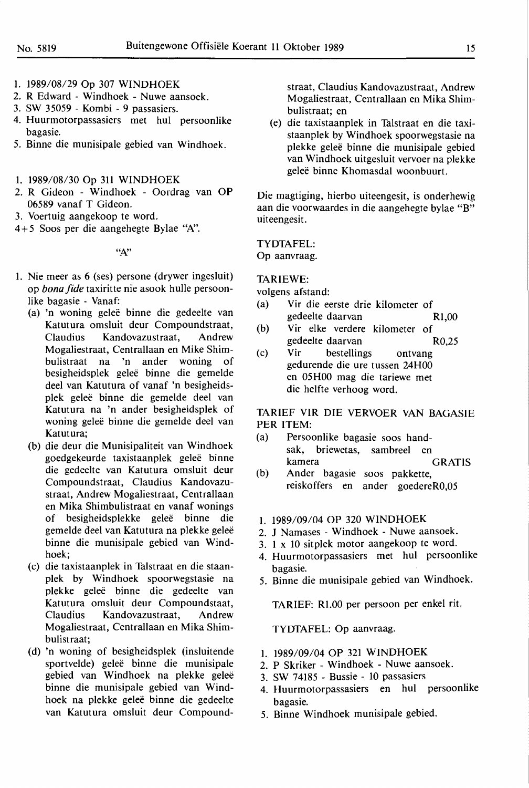- 1. 1989/08/29 Op 307 WINDHOEK
- 2. R Edward Windhoek Nuwe aansoek.
- 3. SW 35059 Kombi 9 passasiers.
- 4. Huurmotorpassasiers met hul persoonlike bagasie.
- 5. Binne die munisipale gebied van Windhoek.
- 1. 1989/08/30 Op 311 WINDHOEK
- 2. R Gideon Windhoek Oordrag van OP 06589 vanaf T Gideon.
- 3. Voertuig aangekoop te word.
- 4+ 5 Soos per die aangehegte Bylae "N'.

*"N'* 

- 1. Nie meer as 6 (ses) persone (drywer ingesluit) op *bona fide* taxiritte nie asook hulle persoonlike bagasie - Vanaf:
	- (a) 'n woning gelee binne die gedeelte van Katutura omsluit deur Compoundstraat, Claudius Kandovazustraat, Andrew Mogaliestraat, Centrallaan en Mike Shimbulistraat na 'n ander woning of besigheidsplek gelee binne die gemelde deel van Katutura of vanaf 'n besigheidsplek gelee binne die gemelde deel van Katutura na 'n ander besigheidsplek of woning geleë binne die gemelde deel van Katutura;
	- (b) die deur die Munisipaliteit van Windhoek goedgekeurde taxistaanplek gelee binne die gedeelte van Katutura omsluit deur Compoundstraat, Claudius Kandovazustraat, Andrew Mogaliestraat, Centrallaan en Mika Shimbulistraat en vanaf wonings of besigheidsplekke gelee binne die gemelde deel van Katutura na plekke gelee binne die munisipale gebied van Windhoek;
	- (c) die taxistaanplek in Talstraat en die staanplek by Windhoek spoorwegstasie na plekke gelee binne die gedeelte van Katutura omsluit deur Compoundstaat, Claudius Kandovazustraat, Andrew Mogaliestraat, Centrallaan en **Mika** Shimbulistraat;
	- (d) 'n woning of besigheidsplek (insluitende sportvelde) geleë binne die munisipale gebied van Windhoek na plekke gelee binne die munisipale gebied van Windhoek na plekke geleë binne die gedeelte van Katutura omsluit deur Compound-

straat, Claudius Kandovazustraat, Andrew Mogaliestraat, Centrallaan en Mika Shimbulistraat; en

(e) die taxistaanplek in Talstraat en die taxistaanplek by Windhoek spoorwegstasie na plekke gelee binne die munisipale gebied van Windhoek uitgesluit vervoer na plekke gelee binne Khomasdal woonbuurt.

Die magtiging, hierbo uiteengesit, is onderhewig aan die voorwaardes in die aangehegte bylae "B" uiteengesit.

TYDTAFEL: Op aanvraag.

**TARIEWE:** 

volgens afstand:

- (a) Vir die eerste drie kilometer of gedeelte daarvan R1,00
- (b) Vir elke verdere kilometer of gedeelte daarvan R0,25
- (c) Vir bestellings ontvang gedurende die ure tussen 24H00 en 05H00 mag die tariewe met die helfte verhoog word.

TARIEF VIR DIE VERVOER VAN BAGASIE PER ITEM:

- (a) Persoonlike bagasie soos handsak, briewetas, sambreel en kamera GRATIS
- (b) Ander bagasie soos pakkette, reiskoffers en ander goedereR0,05

# 1. 1989/09/04 OP 320 **WINDHOEK**

- 2. J Namases Windhoek Nuwe aansoek.
- 3. 1 x 10 sitplek motor aangekoop te word.
- 4. Huurmotorpassasiers met hul persoonlike bagasie.
- 5. Binne die munisipale gebied van Windhoek.

TARIEF: Rl .00 per persoon per enkel rit.

TYDTAFEL: Op aanvraag.

- 1. 1989/09/04 OP 321 WINDHOEK
- 2. P Skriker Windhoek Nuwe aansoek.
- 3. SW 74185 Bussie 10 passasiers
- 4. Huurmotorpassasiers en hul persoonlike bagasie.
- 5. Binne Windhoek munisipale gebied.